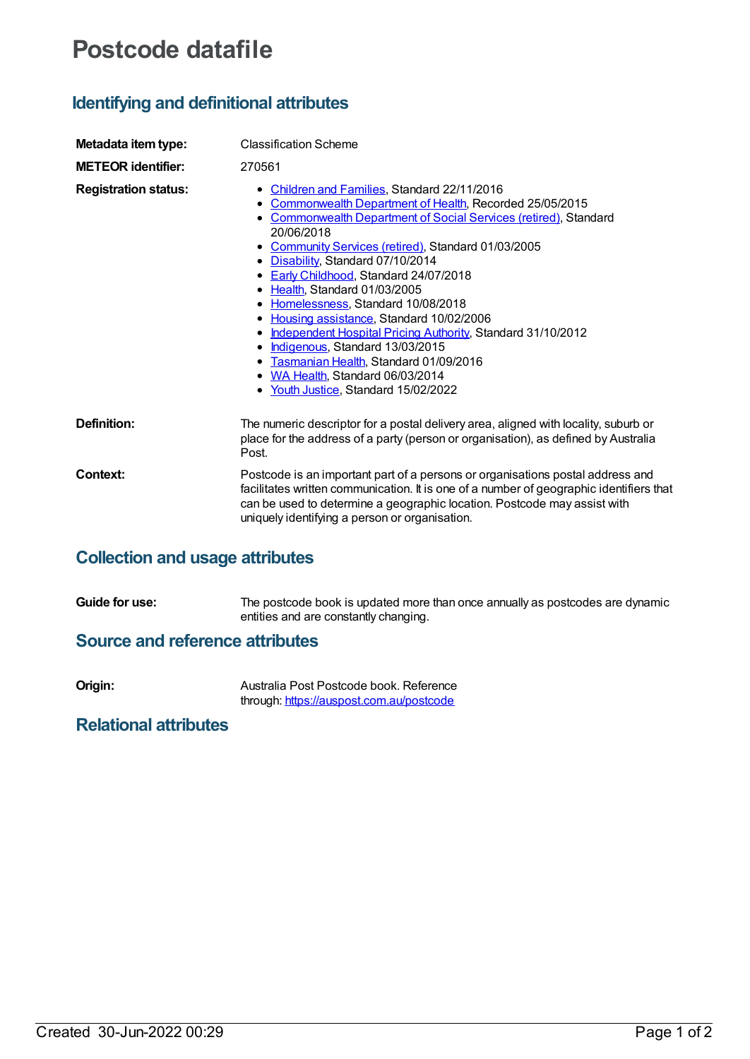# **Postcode datafile**

## **Identifying and definitional attributes**

| Metadata item type:         | <b>Classification Scheme</b>                                                                                                                                                                                                                                                                                                                                                                                                                                                                                                                                                                                                                                                       |  |
|-----------------------------|------------------------------------------------------------------------------------------------------------------------------------------------------------------------------------------------------------------------------------------------------------------------------------------------------------------------------------------------------------------------------------------------------------------------------------------------------------------------------------------------------------------------------------------------------------------------------------------------------------------------------------------------------------------------------------|--|
| <b>METEOR identifier:</b>   | 270561                                                                                                                                                                                                                                                                                                                                                                                                                                                                                                                                                                                                                                                                             |  |
| <b>Registration status:</b> | • Children and Families, Standard 22/11/2016<br>• Commonwealth Department of Health, Recorded 25/05/2015<br>• Commonwealth Department of Social Services (retired), Standard<br>20/06/2018<br>• Community Services (retired), Standard 01/03/2005<br>• Disability, Standard 07/10/2014<br>• Early Childhood, Standard 24/07/2018<br>• Health, Standard 01/03/2005<br>• Homelessness, Standard 10/08/2018<br>• Housing assistance, Standard 10/02/2006<br>• Independent Hospital Pricing Authority, Standard 31/10/2012<br>• Indigenous, Standard 13/03/2015<br>• Tasmanian Health, Standard 01/09/2016<br>• WA Health, Standard 06/03/2014<br>• Youth Justice, Standard 15/02/2022 |  |
| Definition:                 | The numeric descriptor for a postal delivery area, aligned with locality, suburb or<br>place for the address of a party (person or organisation), as defined by Australia<br>Post.                                                                                                                                                                                                                                                                                                                                                                                                                                                                                                 |  |
| Context:                    | Postcode is an important part of a persons or organisations postal address and<br>facilitates written communication. It is one of a number of geographic identifiers that<br>can be used to determine a geographic location. Postcode may assist with<br>uniquely identifying a person or organisation.                                                                                                                                                                                                                                                                                                                                                                            |  |
|                             |                                                                                                                                                                                                                                                                                                                                                                                                                                                                                                                                                                                                                                                                                    |  |

## **Collection and usage attributes**

**Guide for use:** The postcode book is updated more than once annually as postcodes are dynamic entities and are constantly changing.

#### **Source and reference attributes**

| Origin: | Australia Post Postcode book. Reference  |
|---------|------------------------------------------|
|         | through: https://auspost.com.au/postcode |

## **Relational attributes**